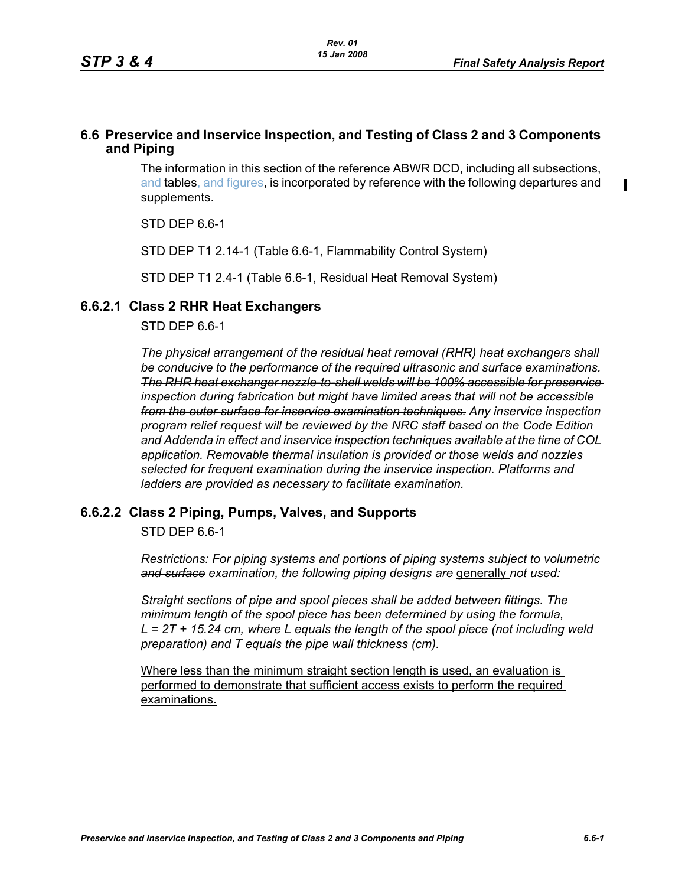$\mathbf I$ 

# **6.6 Preservice and Inservice Inspection, and Testing of Class 2 and 3 Components and Piping**

The information in this section of the reference ABWR DCD, including all subsections, and tables, and figures, is incorporated by reference with the following departures and supplements.

STD DEP 6.6-1

STD DEP T1 2.14-1 (Table 6.6-1, Flammability Control System)

STD DEP T1 2.4-1 (Table 6.6-1, Residual Heat Removal System)

# **6.6.2.1 Class 2 RHR Heat Exchangers**

STD DEP 6.6-1

*The physical arrangement of the residual heat removal (RHR) heat exchangers shall be conducive to the performance of the required ultrasonic and surface examinations. The RHR heat exchanger nozzle-to-shell welds will be 100% accessible for preservice inspection during fabrication but might have limited areas that will not be accessible from the outer surface for inservice examination techniques. Any inservice inspection program relief request will be reviewed by the NRC staff based on the Code Edition and Addenda in effect and inservice inspection techniques available at the time of COL application. Removable thermal insulation is provided or those welds and nozzles selected for frequent examination during the inservice inspection. Platforms and ladders are provided as necessary to facilitate examination.*

### **6.6.2.2 Class 2 Piping, Pumps, Valves, and Supports**

STD DEP 6.6-1

*Restrictions: For piping systems and portions of piping systems subject to volumetric*  and surface examination, the following piping designs are generally not used:

*Straight sections of pipe and spool pieces shall be added between fittings. The minimum length of the spool piece has been determined by using the formula, L = 2T + 15.24 cm, where L equals the length of the spool piece (not including weld preparation) and T equals the pipe wall thickness (cm).*

Where less than the minimum straight section length is used, an evaluation is performed to demonstrate that sufficient access exists to perform the required examinations.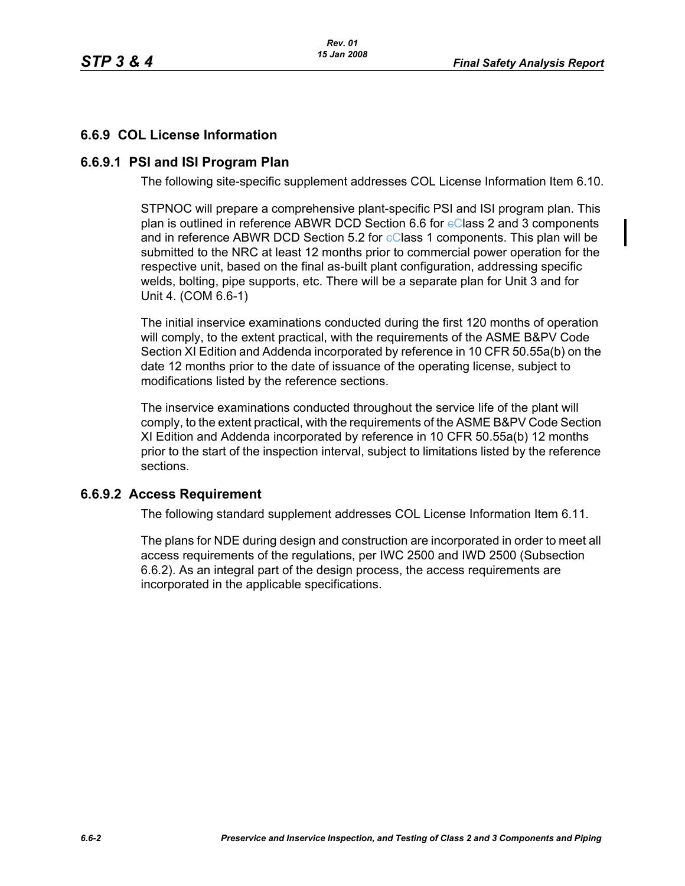# **6.6.9 COL License Information**

## **6.6.9.1 PSI and ISI Program Plan**

The following site-specific supplement addresses COL License Information Item 6.10.

STPNOC will prepare a comprehensive plant-specific PSI and ISI program plan. This plan is outlined in reference ABWR DCD Section 6.6 for  $e$ Class 2 and 3 components and in reference ABWR DCD Section 5.2 for  $eC$  lass 1 components. This plan will be submitted to the NRC at least 12 months prior to commercial power operation for the respective unit, based on the final as-built plant configuration, addressing specific welds, bolting, pipe supports, etc. There will be a separate plan for Unit 3 and for Unit 4. (COM 6.6-1)

The initial inservice examinations conducted during the first 120 months of operation will comply, to the extent practical, with the requirements of the ASME B&PV Code Section XI Edition and Addenda incorporated by reference in 10 CFR 50.55a(b) on the date 12 months prior to the date of issuance of the operating license, subject to modifications listed by the reference sections.

The inservice examinations conducted throughout the service life of the plant will comply, to the extent practical, with the requirements of the ASME B&PV Code Section XI Edition and Addenda incorporated by reference in 10 CFR 50.55a(b) 12 months prior to the start of the inspection interval, subject to limitations listed by the reference sections.

### **6.6.9.2 Access Requirement**

The following standard supplement addresses COL License Information Item 6.11.

The plans for NDE during design and construction are incorporated in order to meet all access requirements of the regulations, per IWC 2500 and IWD 2500 (Subsection 6.6.2). As an integral part of the design process, the access requirements are incorporated in the applicable specifications.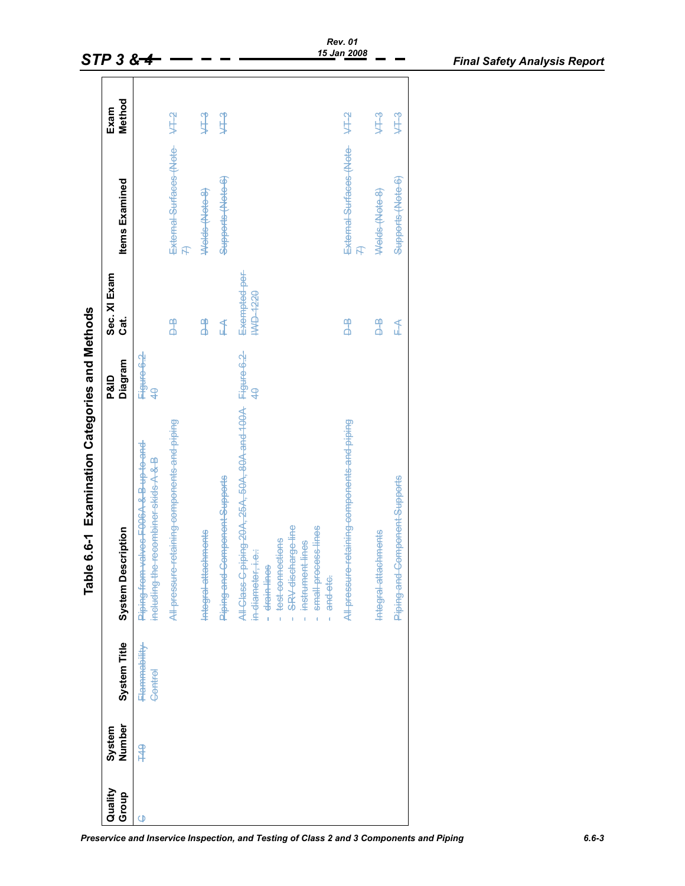|                                                          | $STP38 + 4$               |                                                                                 |                                              |                      |                               |                                                                                                                                                                                                                                | <b>Rev.</b> 01<br>15 Jan 2008                |                         |                               | <b>Final Safety Analysis Report</b> |
|----------------------------------------------------------|---------------------------|---------------------------------------------------------------------------------|----------------------------------------------|----------------------|-------------------------------|--------------------------------------------------------------------------------------------------------------------------------------------------------------------------------------------------------------------------------|----------------------------------------------|-------------------------|-------------------------------|-------------------------------------|
|                                                          | Method<br>Exam            |                                                                                 | $4 + 2$                                      | $4-3$                | $4-3$                         |                                                                                                                                                                                                                                | <b>AT2</b>                                   | $4-3$                   | 443                           |                                     |
|                                                          | <b>Items Examined</b>     |                                                                                 | External Surfaces (Note<br>4                 | Welds (Note 8)       | Supports (Note 6)             |                                                                                                                                                                                                                                | External Surfaces (Note-<br>凡                | Welds (Note 8)          | Supports (Note 6)             |                                     |
|                                                          | Sec. XI Exam<br>Cat.      |                                                                                 | $\overline{a}$                               | $\frac{4}{5}$        | ₹                             | Exempted-per-<br><b>HAD-1220</b>                                                                                                                                                                                               | $\frac{4}{5}$                                | $\overline{\mathbf{a}}$ | $\mathbb{I}$                  |                                     |
|                                                          | P&ID<br>Diagram           | ਜਿ <del>gure 6.2</del><br>4 <del>0</del>                                        |                                              |                      |                               | $\overline{\mathcal{L}}$                                                                                                                                                                                                       |                                              |                         |                               |                                     |
| <b>Examination Categories and Methods</b><br>Table 6.6-1 | <b>System Description</b> | Piping-from-valves-F006A-&-B-up-to-and-<br>including the recombiner skids A & B | All pressure retaining components and piping | Integral attachments | Piping-and-Component-Supports | All Class C piping 20A, 25A, 50A, 80A and 100A Figure 6.2<br><del>test connections</del><br>SRV-discharge-line<br>small process lines<br>instrument lines<br>in-diameter, i.e.:<br>drain-lines<br>and etc.<br>ï<br>ï<br>ï<br>ï | All pressure retaining components and piping | Integral attachments    | Piping and Component Supports |                                     |
|                                                          | System Title              | Flammability<br>Control                                                         |                                              |                      |                               |                                                                                                                                                                                                                                |                                              |                         |                               |                                     |
|                                                          | Number<br>System          | \$                                                                              |                                              |                      |                               |                                                                                                                                                                                                                                |                                              |                         |                               |                                     |
|                                                          | Quality<br>Group          | $\vec{\phi}$                                                                    |                                              |                      |                               |                                                                                                                                                                                                                                |                                              |                         |                               |                                     |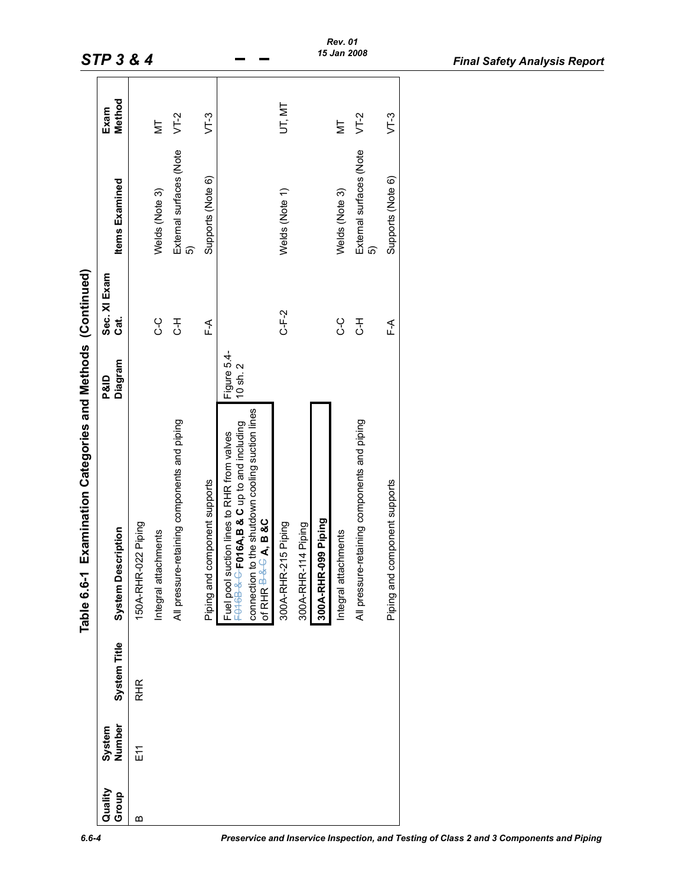|                  |                  |              | Examination Categories and Methods (Continued)<br>Table 6.6-1                                                                                                                                                               |                                    |                        |                                |                |
|------------------|------------------|--------------|-----------------------------------------------------------------------------------------------------------------------------------------------------------------------------------------------------------------------------|------------------------------------|------------------------|--------------------------------|----------------|
| Quality<br>Group | Number<br>System | System Title | <b>System Description</b>                                                                                                                                                                                                   | Diagram<br><b>P&amp;ID</b>         | Sec. XI Exam<br>්<br>ර | <b>Items Examined</b>          | Method<br>Exam |
| മ                | E11              | RHR          | 150A-RHR-022 Piping                                                                                                                                                                                                         |                                    |                        |                                |                |
|                  |                  |              | Integral attachments                                                                                                                                                                                                        |                                    | ں<br>ن                 | Welds (Note 3)                 | Σh             |
|                  |                  |              | All pressure-retaining components and piping                                                                                                                                                                                |                                    | ∓<br>ئ                 | External surfaces (Note<br>៲ົດ | $VT-2$         |
|                  |                  |              | Piping and component supports                                                                                                                                                                                               |                                    | ∱∟<br>⊾                | Supports (Note 6)              | $VT-3$         |
|                  |                  |              | to the shutdown cooling suction lines<br>FO16B-&-C-FO16A,B & C up to and including<br>Fuel pool suction lines to RHR from valves<br>of RHR $\overline{B}$ $\overline{B}$ $\overline{B}$ $\overline{A}$ , B &C<br>connection | Figure 5.4-<br>$10 \text{ sh. } 2$ |                        |                                |                |
|                  |                  |              | 300A-RHR-215 Piping                                                                                                                                                                                                         |                                    | $C-F-2$                | Welds (Note 1)                 | UT, MT         |
|                  |                  |              | 300A-RHR-114 Piping                                                                                                                                                                                                         |                                    |                        |                                |                |
|                  |                  |              | 300A-RHR-099 Piping                                                                                                                                                                                                         |                                    |                        |                                |                |
|                  |                  |              | Integral attachments                                                                                                                                                                                                        |                                    | ں<br>ن                 | Welds (Note 3)                 | ļΣ             |
|                  |                  |              | All pressure-retaining components and piping                                                                                                                                                                                |                                    | بر<br>ئ                | External surfaces (Note<br>ຜົ  | $VT-2$         |
|                  |                  |              | Piping and component supports                                                                                                                                                                                               |                                    | ∱∟<br>⊾                | Supports (Note 6)              | $VT-3$         |
|                  |                  |              |                                                                                                                                                                                                                             |                                    |                        |                                |                |